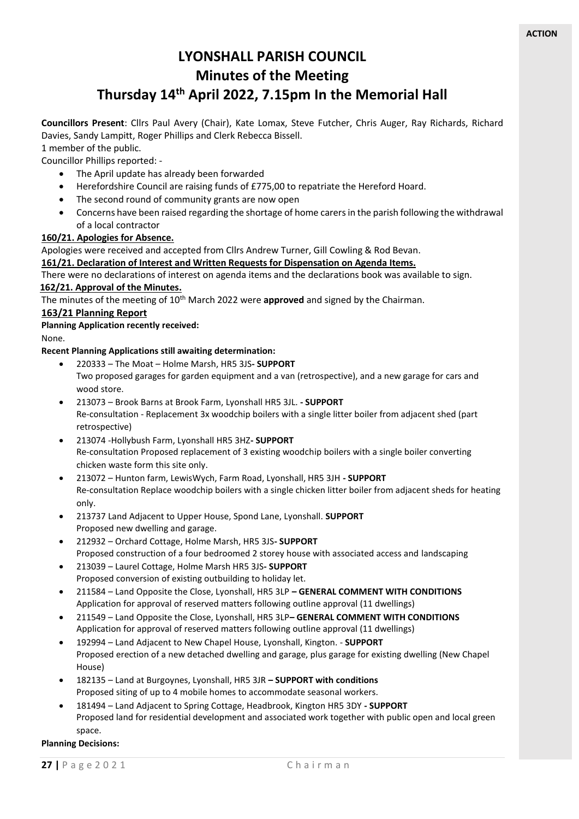# **LYONSHALL PARISH COUNCIL Minutes of the Meeting**

# **Thursday 14th April 2022, 7.15pm In the Memorial Hall**

**Councillors Present**: Cllrs Paul Avery (Chair), Kate Lomax, Steve Futcher, Chris Auger, Ray Richards, Richard Davies, Sandy Lampitt, Roger Phillips and Clerk Rebecca Bissell.

1 member of the public.

Councillor Phillips reported: -

- The April update has already been forwarded
- Herefordshire Council are raising funds of £775,00 to repatriate the Hereford Hoard.
- The second round of community grants are now open
- Concerns have been raised regarding the shortage of home carers in the parish following the withdrawal of a local contractor

# **160/21. Apologies for Absence.**

Apologies were received and accepted from Cllrs Andrew Turner, Gill Cowling & Rod Bevan.

# **161/21. Declaration of Interest and Written Requests for Dispensation on Agenda Items.**

There were no declarations of interest on agenda items and the declarations book was available to sign.

#### **162/21. Approval of the Minutes.**

The minutes of the meeting of 10<sup>th</sup> March 2022 were **approved** and signed by the Chairman.

# **163/21 Planning Report**

**Planning Application recently received:**

None.

#### **Recent Planning Applications still awaiting determination:**

- 220333 The Moat Holme Marsh, HR5 3JS**- SUPPORT** Two proposed garages for garden equipment and a van (retrospective), and a new garage for cars and wood store.
- 213073 Brook Barns at Brook Farm, Lyonshall HR5 3JL. **- SUPPORT** Re-consultation - Replacement 3x woodchip boilers with a single litter boiler from adjacent shed (part retrospective)
- 213074 -Hollybush Farm, Lyonshall HR5 3HZ**- SUPPORT** Re-consultation Proposed replacement of 3 existing woodchip boilers with a single boiler converting chicken waste form this site only.
- 213072 Hunton farm, LewisWych, Farm Road, Lyonshall, HR5 3JH **- SUPPORT** Re-consultation Replace woodchip boilers with a single chicken litter boiler from adjacent sheds for heating only.
- 213737 Land Adjacent to Upper House, Spond Lane, Lyonshall. **SUPPORT** Proposed new dwelling and garage.
- 212932 Orchard Cottage, Holme Marsh, HR5 3JS**- SUPPORT** Proposed construction of a four bedroomed 2 storey house with associated access and landscaping
- 213039 Laurel Cottage, Holme Marsh HR5 3JS**- SUPPORT** Proposed conversion of existing outbuilding to holiday let.
- 211584 Land Opposite the Close, Lyonshall, HR5 3LP **– GENERAL COMMENT WITH CONDITIONS** Application for approval of reserved matters following outline approval (11 dwellings)
- 211549 Land Opposite the Close, Lyonshall, HR5 3LP**– GENERAL COMMENT WITH CONDITIONS** Application for approval of reserved matters following outline approval (11 dwellings)
- 192994 Land Adjacent to New Chapel House, Lyonshall, Kington. **SUPPORT** Proposed erection of a new detached dwelling and garage, plus garage for existing dwelling (New Chapel House)
- 182135 Land at Burgoynes, Lyonshall, HR5 3JR **– SUPPORT with conditions** Proposed siting of up to 4 mobile homes to accommodate seasonal workers.
- 181494 Land Adjacent to Spring Cottage, Headbrook, Kington HR5 3DY **- SUPPORT** Proposed land for residential development and associated work together with public open and local green space.

#### **Planning Decisions:**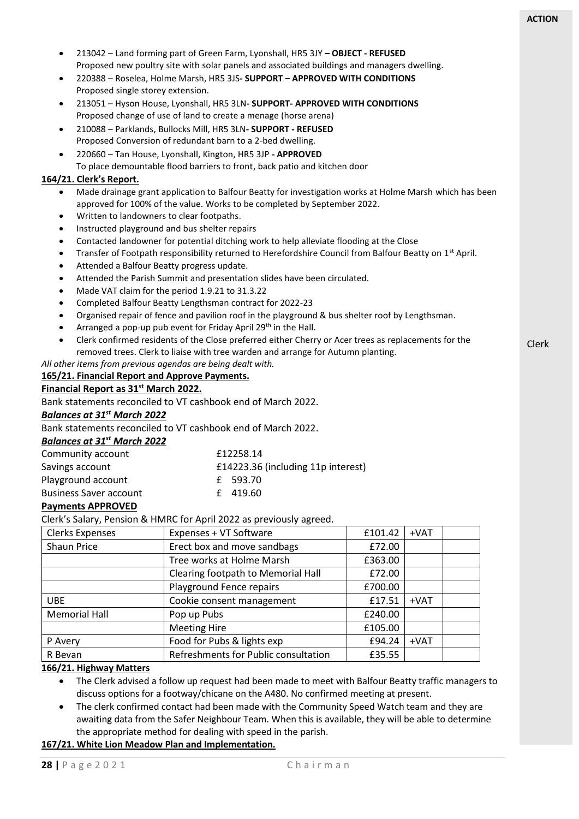

**166/21. Highway Matters** 

• The Clerk advised a follow up request had been made to meet with Balfour Beatty traffic managers to

• The clerk confirmed contact had been made with the Community Speed Watch team and they are awaiting data from the Safer Neighbour Team. When this is available, they will be able to determine

discuss options for a footway/chicane on the A480. No confirmed meeting at present.

R Bevan Refreshments for Public consultation | £35.55

the appropriate method for dealing with speed in the parish.

**167/21. White Lion Meadow Plan and Implementation.**